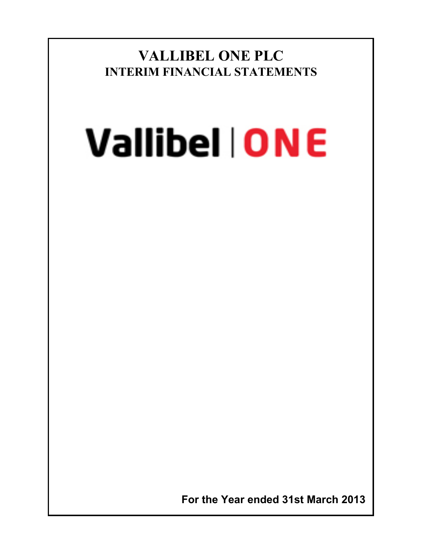**VALLIBEL ONE PLC INTERIM FINANCIAL STATEMENTS**

# **Vallibel | ONE**

 **For the Year ended 31st March 2013**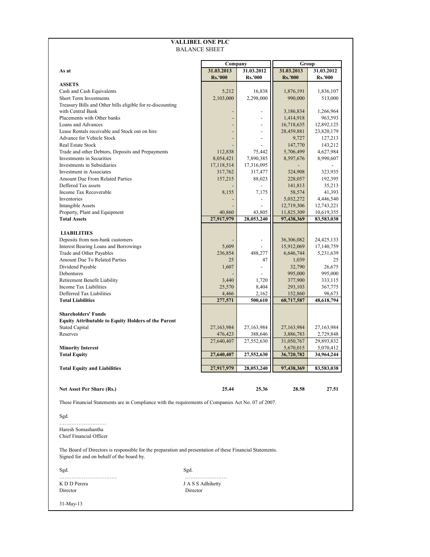|                                                                                                                                                        | <b>VALLIBEL ONE PLC</b> |                          |                          |                       |                              |
|--------------------------------------------------------------------------------------------------------------------------------------------------------|-------------------------|--------------------------|--------------------------|-----------------------|------------------------------|
|                                                                                                                                                        | <b>BALANCE SHEET</b>    |                          |                          |                       |                              |
|                                                                                                                                                        |                         |                          | Company                  | Group                 |                              |
| As at                                                                                                                                                  | 31.03.2013              |                          | 31.03.2012               | 31.03.2013            | 31.03.2012<br><b>Rs.'000</b> |
| <b>ASSETS</b>                                                                                                                                          | <b>Rs.'000</b>          |                          | <b>Rs.'000</b>           | Rs.'000               |                              |
| Cash and Cash Equivalents                                                                                                                              | 5,212                   |                          | 16,838                   | 1,876,191             | 1,836,107                    |
| <b>Short Term Investments</b>                                                                                                                          | 2,103,000               |                          | 2,298,000                | 990,000               | 513,000                      |
| Treasury Bills and Other bills eligible for re-discounting                                                                                             |                         |                          |                          |                       |                              |
| with Central Bank                                                                                                                                      |                         | $\overline{\phantom{a}}$ | $\overline{\phantom{a}}$ | 3,186,834             | 1,266,964                    |
| Placements with Other banks                                                                                                                            |                         |                          | $\overline{a}$           | 1,414,918             | 963,593                      |
| Loans and Advances                                                                                                                                     |                         |                          | $\overline{a}$           | 16,718,635            | 12,892,125                   |
| Lease Rentals receivable and Stock out on hire                                                                                                         |                         | $\overline{\phantom{a}}$ | $\frac{1}{2}$            | 28,459,881            | 23,820,179                   |
| Advance for Vehicle Stock                                                                                                                              |                         |                          |                          | 9,727                 | 127,213                      |
| Real Estate Stock                                                                                                                                      |                         |                          |                          | 147,770               | 143,212                      |
| Trade and other Debtors, Deposits and Prepayments                                                                                                      | 112,838                 |                          | 75,442                   | 5,706,499             | 4,627,984                    |
| Investments in Securities                                                                                                                              | 8,054,421               |                          | 7,890,385                | 8,597,676             | 8,990,607                    |
| Investments in Subsidiaries                                                                                                                            | 17,118,514              |                          | 17,316,095               |                       |                              |
| Investment in Associates                                                                                                                               | 317,762                 |                          | 317,477                  | 324,908               | 323,935                      |
| Amount Due From Related Parties                                                                                                                        | 157,215                 |                          | 88,023                   | 228,057               | 192,395                      |
| Deffered Tax assets                                                                                                                                    |                         |                          |                          | 141,813               | 35,213                       |
| Income Tax Recoverable                                                                                                                                 | 8,155                   |                          | 7,175                    | 58,574                | 41,393                       |
| Inventories                                                                                                                                            |                         |                          | $\overline{\phantom{0}}$ | 5,032,272             | 4,446,540                    |
| <b>Intangible Assets</b>                                                                                                                               |                         |                          |                          | 12,719,306            | 12,743,221                   |
| Property, Plant and Equipment                                                                                                                          | 40,860                  |                          | 43,805                   | 11,825,309            | 10,619,355                   |
| <b>Total Assets</b>                                                                                                                                    | 27,917,979              |                          | 28,053,240               | 97,438,369            | 83,583,038                   |
|                                                                                                                                                        |                         |                          |                          |                       |                              |
| <b>LIABILITIES</b>                                                                                                                                     |                         |                          |                          |                       |                              |
| Deposits from non-bank customers                                                                                                                       |                         |                          |                          | 36,306,082            | 24,425,133                   |
| Interest Bearing Loans and Borrowings                                                                                                                  | 5,609                   |                          |                          | 15,912,069            | 17,140,759                   |
| Trade and Other Payables                                                                                                                               | 236,854                 |                          | 488,277                  | 6,646,744             | 5,231,639                    |
| Amount Due To Related Parties                                                                                                                          |                         | 25                       | 47                       | 1,039                 | 25                           |
| Dividend Payable                                                                                                                                       | 1,607                   |                          | $\overline{a}$           | 32,790                | 26,675                       |
| Debentures                                                                                                                                             |                         |                          |                          | 995,000               | 995,000                      |
| Retirement Benefit Liability                                                                                                                           | 3,440                   |                          | 1,720                    | 377,900               | 333,115                      |
| Income Tax Liabilities<br>Defferred Tax Liabilities                                                                                                    | 25,570                  |                          | 8,404<br>2,162           | 293,103               | 367,775                      |
| <b>Total Liabilities</b>                                                                                                                               | 4,466<br>277,571        |                          | 500,610                  | 152,860<br>60,717,587 | 98,673<br>48,618,794         |
|                                                                                                                                                        |                         |                          |                          |                       |                              |
| <b>Shareholders' Funds</b>                                                                                                                             |                         |                          |                          |                       |                              |
| <b>Equity Attributable to Equity Holders of the Parent</b>                                                                                             |                         |                          |                          |                       |                              |
| <b>Stated Capital</b>                                                                                                                                  | 27,163,984              |                          | 27,163,984               | 27,163,984            | 27,163,984                   |
| Reserves                                                                                                                                               | 476,423                 |                          | 388,646                  | 3,886,783             | 2,729,848                    |
|                                                                                                                                                        | 27,640,407              |                          | 27,552,630               | 31,050,767            | 29,893,832                   |
| <b>Minority Interest</b>                                                                                                                               |                         |                          |                          | 5,670,015             | 5,070,412                    |
| Total Equity                                                                                                                                           | 27,640,407              |                          | 27,552,630               | 36,720,782            | 34,964,244                   |
|                                                                                                                                                        |                         |                          |                          |                       |                              |
| <b>Total Equity and Liabilities</b>                                                                                                                    | 27,917,979              |                          | 28,053,240               | 97,438,369            | 83,583,038                   |
|                                                                                                                                                        |                         |                          |                          |                       |                              |
| Net Asset Per Share (Rs.)                                                                                                                              | 25.44                   |                          | 25.36                    | 28.58                 | 27.51                        |
| These Financial Statements are in Compliance with the requirements of Companies Act No. 07 of 2007.                                                    |                         |                          |                          |                       |                              |
| Sgd.                                                                                                                                                   |                         |                          |                          |                       |                              |
|                                                                                                                                                        |                         |                          |                          |                       |                              |
| Haresh Somashantha<br>Chief Financial Officer                                                                                                          |                         |                          |                          |                       |                              |
| The Board of Directors is responsible for the preparation and presentation of these Financial Statements.<br>Signed for and on behalf of the board by. |                         |                          |                          |                       |                              |
| Sgd.                                                                                                                                                   | Sgd.                    |                          |                          |                       |                              |
|                                                                                                                                                        | .                       |                          |                          |                       |                              |
| K D D Perera                                                                                                                                           | J A S S Adhihetty       |                          |                          |                       |                              |
| Director                                                                                                                                               | Director                |                          |                          |                       |                              |
|                                                                                                                                                        |                         |                          |                          |                       |                              |
| 31-May-13                                                                                                                                              |                         |                          |                          |                       |                              |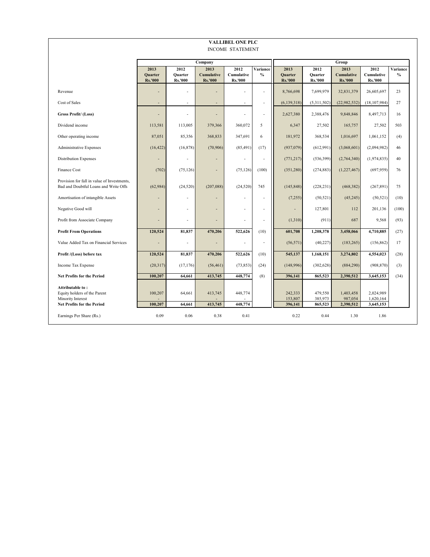| <b>VALLIBEL ONE PLC</b><br><b>INCOME STATEMENT</b>                                   |                                          |                                          |                                             |                                      |                          |                                          |                                   |                                      |                                      |                           |
|--------------------------------------------------------------------------------------|------------------------------------------|------------------------------------------|---------------------------------------------|--------------------------------------|--------------------------|------------------------------------------|-----------------------------------|--------------------------------------|--------------------------------------|---------------------------|
|                                                                                      |                                          |                                          |                                             |                                      |                          |                                          |                                   |                                      |                                      |                           |
|                                                                                      |                                          |                                          | Company                                     |                                      |                          |                                          |                                   | Group                                |                                      |                           |
|                                                                                      | 2013<br><b>Quarter</b><br><b>Rs.'000</b> | 2012<br><b>Ouarter</b><br><b>Rs.'000</b> | 2013<br><b>Cumulative</b><br><b>Rs.'000</b> | 2012<br>Cumulative<br><b>Rs.'000</b> | Variance<br>$\%$         | 2013<br><b>Quarter</b><br><b>Rs.'000</b> | 2012<br><b>Quarter</b><br>Rs.'000 | 2013<br>Cumulative<br><b>Rs.'000</b> | 2012<br>Cumulative<br><b>Rs.'000</b> | Variance<br>$\frac{0}{0}$ |
| Revenue                                                                              |                                          |                                          |                                             |                                      | $\overline{a}$           | 8,766,698                                | 7,699,979                         | 32,831,379                           | 26,605,697                           | 23                        |
| Cost of Sales                                                                        |                                          |                                          |                                             | $\overline{a}$                       | $\overline{a}$           | (6, 139, 318)                            | (5,311,502)                       | (22,982,532)                         | (18, 107, 984)                       | 27                        |
| Gross Profit/(Loss)                                                                  |                                          |                                          | L.                                          | $\overline{a}$                       | $\overline{\phantom{a}}$ | 2,627,380                                | 2,388,476                         | 9,848,846                            | 8,497,713                            | 16                        |
| Dividend income                                                                      | 113,581                                  | 113,005                                  | 379,366                                     | 360,072                              | 5                        | 6,347                                    | 27,502                            | 165,757                              | 27,502                               | 503                       |
| Other operating income                                                               | 87,051                                   | 85,356                                   | 368,833                                     | 347,691                              | 6                        | 181,972                                  | 368,534                           | 1,016,697                            | 1,061,152                            | (4)                       |
| <b>Administrative Expenses</b>                                                       | (16, 422)                                | (16, 878)                                | (70, 906)                                   | (85, 491)                            | (17)                     | (937,079)                                | (612,991)                         | (3,068,601)                          | (2,094,982)                          | 46                        |
| <b>Distribution Expenses</b>                                                         |                                          |                                          |                                             | $\overline{a}$                       | $\overline{a}$           | (771, 217)                               | (536, 399)                        | (2,764,340)                          | (1,974,835)                          | 40                        |
| <b>Finance Cost</b>                                                                  | (702)                                    | (75, 126)                                |                                             | (75, 126)                            | (100)                    | (351, 280)                               | (274, 883)                        | (1,227,467)                          | (697, 959)                           | 76                        |
| Provision for fall in value of Investments,<br>Bad and Doubtful Loans and Write Offs | (62, 984)                                | (24, 520)                                | (207, 088)                                  | (24, 520)                            | 745                      | (145, 848)                               | (228, 231)                        | (468, 382)                           | (267, 891)                           | 75                        |
| Amortisation of intangible Assets                                                    |                                          |                                          |                                             | L,                                   | ÷                        | (7, 255)                                 | (50, 521)                         | (45, 245)                            | (50, 521)                            | (10)                      |
| Negative Good will                                                                   |                                          |                                          |                                             | $\overline{a}$                       | ٠                        | L,                                       | 127,801                           | 112                                  | 201,136                              | (100)                     |
| Profit from Associate Company                                                        |                                          |                                          | L.                                          | $\overline{a}$                       | $\overline{\phantom{a}}$ | (1,310)                                  | (911)                             | 687                                  | 9,568                                | (93)                      |
| <b>Profit From Operations</b>                                                        | 120,524                                  | 81,837                                   | 470,206                                     | 522,626                              | (10)                     | 601,708                                  | 1,208,378                         | 3,458,066                            | 4,710,885                            | (27)                      |
| Value Added Tax on Financial Services                                                |                                          |                                          |                                             | ٠                                    | $\overline{\phantom{a}}$ | (56, 571)                                | (40, 227)                         | (183, 265)                           | (156, 862)                           | 17                        |
| Profit /(Loss) before tax                                                            | 120,524                                  | 81,837                                   | 470,206                                     | 522,626                              | (10)                     | 545,137                                  | 1,168,151                         | 3,274,802                            | 4,554,023                            | (28)                      |
| Income Tax Expense                                                                   | (20,317)                                 | (17, 176)                                | (56, 461)                                   | (73, 853)                            | (24)                     | (148,996)                                | (302, 628)                        | (884, 290)                           | (908, 870)                           | (3)                       |
| <b>Net Profits for the Period</b>                                                    | 100,207                                  | 64,661                                   | 413,745                                     | 448,774                              | (8)                      | 396,141                                  | 865,523                           | 2,390,512                            | 3,645,153                            | (34)                      |
| Attributable to:<br>Equity holders of the Parent<br>Minority Interest                | 100,207                                  | 64,661                                   | 413,745                                     | 448,774                              |                          | 242,333<br>153,807                       | 479,550<br>385,973                | 1,403,458<br>987,054                 | 2,024,989<br>1,620,164               |                           |
| <b>Net Profits for the Period</b>                                                    | 100,207                                  | 64,661                                   | 413,745                                     | 448,774                              |                          | 396,141                                  | 865,523                           | 2,390,512                            | 3,645,153                            |                           |
| Earnings Per Share (Rs.)                                                             | 0.09                                     | 0.06                                     | 0.38                                        | 0.41                                 |                          | 0.22                                     | 0.44                              | 1.30                                 | 1.86                                 |                           |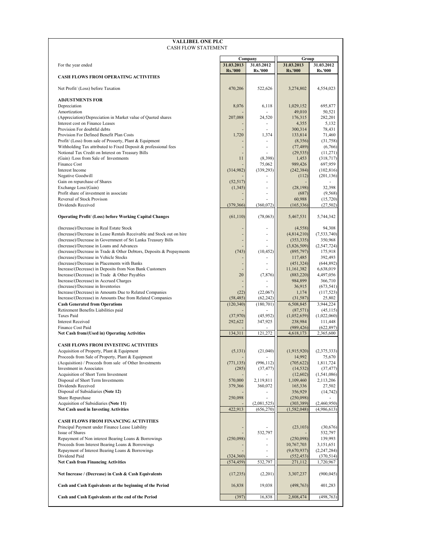| <b>VALLIBEL ONE PLC</b><br><b>CASH FLOW STATEMENT</b>                                                                |                   |                          |                         |                            |
|----------------------------------------------------------------------------------------------------------------------|-------------------|--------------------------|-------------------------|----------------------------|
|                                                                                                                      |                   | Company                  | Group                   |                            |
| For the year ended                                                                                                   | 31.03.2013        | 31.03.2012               | 31.03.2013              | 31.03.2012                 |
| <b>CASH FLOWS FROM OPERATING ACTIVITIES</b>                                                                          | <b>Rs.'000</b>    | <b>Rs.'000</b>           | <b>Rs.'000</b>          | <b>Rs.'000</b>             |
| Net Profit/ (Loss) before Taxation                                                                                   | 470,206           | 522,626                  | 3,274,802               | 4,554,023                  |
| <b>ADJUSTMENTS FOR</b>                                                                                               |                   |                          |                         |                            |
| Depreciation                                                                                                         | 8,076             | 6,118                    | 1,029,152               | 695,877                    |
| Amortization                                                                                                         |                   |                          | 49,010                  | 50,521                     |
| (Appreciation)/Depreciation in Market value of Quoted shares<br>Interest cost on Finance Leases                      | 207,088           | 24,520<br>۰              | 176,315<br>4,355        | 282,201<br>5,132           |
| Provision For doubtful debts                                                                                         |                   | ÷.                       | 300,314                 | 78,431                     |
| Provision For Defined Benefit Plan Costs                                                                             | 1,720             | 1,374                    | 133,814                 | 71,460                     |
| Profit/ (Loss) from sale of Prooerty, Plant & Equipment                                                              |                   | ٠                        | (8,356)                 | (31,758)                   |
| Withholding Tax attributed to Fixed Deposit & professional fees                                                      |                   | ÷                        | (77, 489)               | (6,766)                    |
| Notional Tax Credit on Interest on Treasury Bills                                                                    |                   |                          | (29, 535)               | (11, 271)                  |
| (Gain) /Loss from Sale of Investments<br>Finance Cost                                                                | 11                | (8, 398)                 | 1,453                   | (318, 717)                 |
| Interest Income                                                                                                      | (314,982)         | 75,062<br>(339, 293)     | 989,426<br>(242, 384)   | 697,959<br>(102, 816)      |
| Negative Goodwill                                                                                                    |                   |                          | (112)                   | (201, 136)                 |
| Gain on repurchase of Shares                                                                                         | (52, 517)         | ä,                       |                         |                            |
| Exchange Loss/(Gain)                                                                                                 | (1, 345)          | ÷,                       | (28, 198)               | 32,398                     |
| Profit share of investment in associate                                                                              |                   | ٠                        | (687)                   | (9, 568)                   |
| Reversal of Stock Provison                                                                                           |                   |                          | 60,988                  | (15, 720)                  |
| Dividends Received                                                                                                   | (379, 366)        | (360, 072)               | (165, 336)              | (27, 502)                  |
| <b>Operating Profit/ (Loss) before Working Capital Changes</b>                                                       | (61, 110)         | (78,063)                 | 5,467,531               | 5,744,342                  |
| (Increase)/Decrease in Real Estate Stock                                                                             |                   | ٠                        | (4, 558)                | 94,308                     |
| (Increase)/Decrease in Lease Rentals Receivable and Stock out on hire                                                |                   | ä,                       | (4,814,210)             | (7, 533, 740)              |
| (Increase)/Decrease in Government of Sri Lanka Treasury Bills                                                        |                   | $\overline{\phantom{a}}$ | (353, 335)              | 350,968                    |
| (Increase)/Decrease in Loans and Advances                                                                            |                   |                          | (3,826,509)             | (2, 547, 724)              |
| (Increase)/Decrease in Trade & Other Debtors, Deposits & Prepayments<br>(Increase)/Decrease in Vehicle Stocks        | (743)             | (10, 452)                | (895, 797)              | 175,918<br>392,493         |
| (Increase)/Decrease in Placements with Banks                                                                         |                   | $\overline{\phantom{a}}$ | 117,485<br>(451, 324)   | (644, 892)                 |
| Increase/(Decrease) in Deposits from Non Bank Customers                                                              |                   |                          | 11,161,382              | 6,638,019                  |
| Increase/(Decrease) in Trade & Other Payables                                                                        | 20                | (7, 876)                 | (883, 220)              | 4,497,056                  |
| Increase/(Decrease) in Accrued Charges                                                                               |                   |                          | 984,899                 | 366,710                    |
| (Increase)/Decrease in Inventories                                                                                   |                   | (22,067)                 | 36,915                  | (673, 541)                 |
| Increase/(Decrease) in Amounts Due to Related Companies<br>Increase/(Decrease) in Amounts Due from Related Companies | (22)<br>(58, 485) | (62, 242)                | 1,174<br>(31, 587)      | (117, 523)<br>25,802       |
| <b>Cash Generated from Operations</b>                                                                                | (120, 340)        | (180, 701)               | 6,508,845               | 3,944,224                  |
| Retirement Benefits Liabilities paid                                                                                 |                   |                          | (87, 571)               | (45, 115)                  |
| <b>Taxes Paid</b>                                                                                                    | (37,970)          | (45,952)                 | (1,052,659)             | (1,022,060)                |
| <b>Interest Received</b>                                                                                             | 292,622           | 347,925                  | 238,984                 | 111,448                    |
| Finance Cost Paid<br>Net Cash from/(Used in) Operating Activities                                                    | 134,311           | 121.272                  | (989, 426)<br>4,618,173 | (622, 897)<br>2,365,600    |
|                                                                                                                      |                   |                          |                         |                            |
| <b>CASH FLOWS FROM INVESTING ACTIVITIES</b><br>Acquisition of Property, Plant & Equipment                            | (5, 131)          | (21,040)                 | (1,915,920)             | (2,375,333)                |
| Proceeds from Sale of Property, Plant & Equipment                                                                    |                   |                          | 14,992                  | 75,670                     |
| (Acquisition) / Proceeds from sale of Other Investments                                                              | (771, 135)        | (996, 112)               | (705, 622)              | 1,811,724                  |
| Investment in Associates<br>Acquisition of Short Term Investment                                                     | (285)             | (37, 477)                | (14, 532)<br>(12, 602)  | (37, 477)<br>(1, 541, 086) |
| Disposal of Short Term Investments                                                                                   | 570,000           | 2,119,811                | 1,109,460               | 2,113,206                  |
| Dividends Received                                                                                                   | 379,366           | 360,072                  | 165,336                 | 27,502                     |
| Disposal of Subsidiaries (Note 12)                                                                                   |                   |                          | 356,929                 | (14, 742)                  |
| Share Repurchase                                                                                                     | 250,098           |                          | (250,098)               |                            |
| Acquisition of Subsidiaries (Note 11)                                                                                | 422,913           | (2,081,525)              | (303, 389)              | (2,460,950)<br>(4,986,613) |
| <b>Net Cash used in Investing Activities</b>                                                                         |                   | (656, 270)               | (1,582,048)             |                            |
| <b>CASH FLOWS FROM FINANCING ACTIVITIES</b>                                                                          |                   |                          |                         |                            |
| Principal Payment under Finance Lease Liability                                                                      |                   |                          | (23, 103)               | (30,676)                   |
| Issue of Shares                                                                                                      |                   | 532,797                  |                         | 532,797                    |
| Repayment of Non interest Bearing Loans & Borrowings<br>Proceeds from Interest Bearing Loans & Borrowings            | (250,098)         | ٠                        | (250,098)<br>10,767,703 | 139,993<br>3,151,651       |
| Repayment of Interest Bearing Loans & Borrowings                                                                     |                   |                          | (9,670,937)             | (2, 247, 284)              |
| Dividend Paid                                                                                                        | (324, 360)        |                          | (552, 453)              | (370, 514)                 |
| <b>Net Cash from Financing Activities</b>                                                                            | (574, 459)        | 532,797                  | 271,112                 | 1,720,967                  |
| Net Increase / (Decrease) in Cash & Cash Equivalents                                                                 | (17,235)          | (2,201)                  | 3,307,237               | (900, 045)                 |
| Cash and Cash Equivalents at the beginning of the Period                                                             | 16,838            | 19,038                   | (498, 763)              | 401,283                    |
| Cash and Cash Equivalents at the end of the Period                                                                   | (397)             | 16,838                   | 2,808,474               | (498, 763)                 |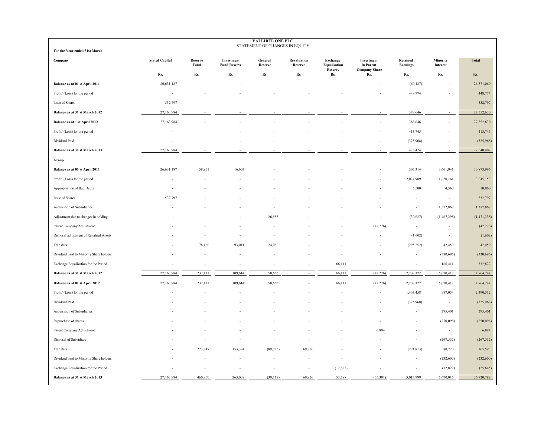| <b>VALLIBEL ONE PLC</b><br>STATEMENT OF CHANGES IN EQUITY |                       |                 |                                   |                    |                        |                                     |                                                        |                          |                          |               |
|-----------------------------------------------------------|-----------------------|-----------------|-----------------------------------|--------------------|------------------------|-------------------------------------|--------------------------------------------------------|--------------------------|--------------------------|---------------|
| For the Year ended 31st March                             |                       |                 |                                   |                    |                        |                                     |                                                        |                          |                          |               |
| Company                                                   | <b>Stated Capital</b> | Reserve<br>Fund | Investment<br><b>Fund Reserve</b> | General<br>Reserve | Revaluation<br>Reserve | Exchange<br>Equalisation<br>Reserve | Investment<br><b>In Parent</b><br><b>Company Share</b> | Retained<br>Earnings     | Minority<br>Interest     | <b>Total</b>  |
|                                                           | Rs.                   | Rs.             | Rs.                               | Rs.                | Rs.                    | Rs.                                 | Rs.                                                    | Rs.                      | Rs.                      | Rs.           |
| Balance as at 01 st April 2011                            | 26,631,187            |                 |                                   |                    |                        |                                     |                                                        | (60, 127)                | ٠.                       | 26,571,060    |
| Profit/ (Loss) for the period                             |                       |                 |                                   |                    |                        |                                     |                                                        | 448,774                  |                          | 448,774       |
| Issue of Shares                                           | 532,797               |                 |                                   |                    |                        |                                     |                                                        |                          |                          | 532,797       |
| Balance as at 31 st March 2012                            | 27,163,984            |                 |                                   |                    |                        |                                     |                                                        | 388,646                  | $\sim$                   | 27,552,630    |
| Balance as at 1 st April 2012                             | 27,163,984            |                 |                                   |                    |                        |                                     |                                                        | 388,646                  | ÷,                       | 27,552,630    |
| Profit/ (Loss) for the period                             |                       |                 |                                   |                    |                        |                                     |                                                        | 413,745                  | ٠.                       | 413,745       |
| Dividend Paid                                             |                       |                 |                                   |                    |                        |                                     |                                                        | (325,968)                |                          | (325,968)     |
| Balance as at 31 st March 2013                            | 27,163,984            | ×.              |                                   | ÷.                 |                        |                                     | $\sim$                                                 | 476,424                  | $\sim$                   | 27,640,407    |
| Group                                                     |                       |                 |                                   |                    |                        |                                     |                                                        |                          |                          |               |
| Balance as at 01 st April 2011                            | 26,631,187            | 58,951          | 16,603                            |                    |                        |                                     |                                                        | 505,314                  | 3,661,941                | 30,873,996    |
| Profit/ (Loss) for the period                             |                       |                 |                                   |                    |                        |                                     |                                                        | 2,024,989                | 1,620,164                | 3,645,153     |
| Appropriation of Bad Debts                                |                       |                 |                                   |                    |                        |                                     |                                                        | 5,500                    | 4,560                    | 10,060        |
| Issue of Shares                                           | 532,797               |                 |                                   |                    |                        |                                     |                                                        | $\overline{\phantom{a}}$ | $\overline{\phantom{a}}$ | 532,797       |
| Acquisition of Subsidiaries                               |                       |                 |                                   |                    |                        |                                     |                                                        | $\sim$                   | 1,372,868                | 1,372,868     |
| Adjustment due to changes in holding                      |                       |                 |                                   | 26,585             |                        |                                     |                                                        | (30,627)                 | (1,467,295)              | (1, 471, 338) |
| Parent Company Adjustment                                 |                       |                 |                                   |                    |                        |                                     | (42, 276)                                              | $\sim$                   | $\sim$                   | (42, 276)     |
| Disposal adjustment of Revalued Assets                    |                       |                 |                                   |                    |                        |                                     |                                                        | (1,602)                  | $\overline{\phantom{a}}$ | (1,602)       |
| Transfers                                                 |                       | 178,160         | 93,011                            | 24,080             |                        |                                     |                                                        | (295, 252)               | 42,459                   | 42,459        |
| Dividend paid to Minority Share holders                   |                       |                 |                                   |                    |                        |                                     |                                                        | ×,                       | (330, 696)               | (330,696)     |
| Exchange Equalization for the Period                      |                       |                 |                                   |                    |                        | 166,411                             |                                                        |                          | 166,411                  | 332,822       |
| Balance as at 31 st March 2012                            | 27,163,984            | 237,111         | 109,614                           | 50,665             |                        | 166,411                             | (42, 276)                                              | 2,208,322                | 5,070,412                | 34,964,244    |
| Balance as at 01 st April 2012                            | 27,163,984            | 237,111         | 109,614                           | 50,665             |                        | 166,411                             | (42, 276)                                              | 2,208,322                | 5,070,412                | 34,964,244    |
| Profit/ (Loss) for the period                             |                       |                 |                                   |                    |                        |                                     |                                                        | 1,403,458                | 987,054                  | 2,390,512     |
| Dividend Paid                                             |                       |                 |                                   |                    |                        |                                     |                                                        | (325,968)                | $\overline{\phantom{a}}$ | (325,968)     |
| Acquisition of Subsidiaries                               |                       |                 |                                   |                    |                        |                                     |                                                        |                          | 295,401                  | 295,401       |
| Repurchase of shares                                      |                       |                 |                                   |                    |                        |                                     |                                                        |                          | (250, 098)               | (250,098)     |
| Parent Company Adjustment                                 |                       |                 |                                   |                    |                        |                                     | 6,894                                                  |                          | $\sim$                   | 6,894         |
| Disposal of Subsidiary                                    |                       |                 |                                   |                    |                        |                                     |                                                        |                          | (267, 552)               | (267, 552)    |
| Transfers                                                 |                       | 223,749         | 153,394                           | (89, 783)          | 69,826                 |                                     |                                                        | (271, 813)               | 80,220                   | 165,593       |
| Dividend paid to Minority Share holders                   |                       |                 |                                   |                    |                        |                                     |                                                        |                          | (232, 600)               | (232,600)     |
| Exchange Equalization for the Period                      |                       |                 |                                   | ٠                  |                        | (12, 822)                           |                                                        |                          | (12, 822)                | (25, 645)     |
| Balance as at 31 st March 2013                            | 27,163,984            | 460,860         | 263,008                           | (39, 117)          | 69,826                 | 153,588                             | (35,381)                                               | 3,013,999                | 5,670,015                | 36,720,782    |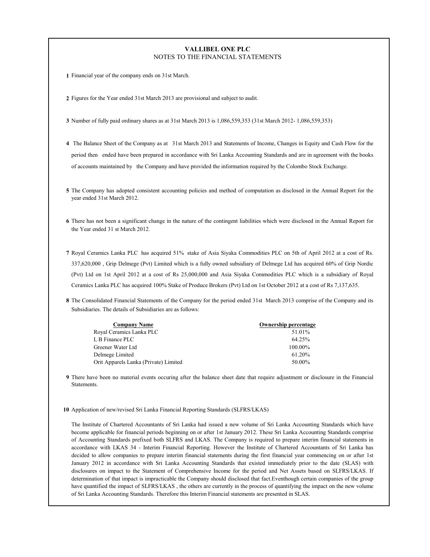#### **VALLIBEL ONE PLC** NOTES TO THE FINANCIAL STATEMENTS

**1** Financial year of the company ends on 31st March.

**2** Figures for the Year ended 31st March 2013 are provisional and subject to audit.

- **3** Number of fully paid ordinary shares as at 31st March 2013 is 1,086,559,353 (31st March 2012- 1,086,559,353)
- **4** The Balance Sheet of the Company as at 31st March 2013 and Statements of Income, Changes in Equity and Cash Flow for the period then ended have been prepared in accordance with Sri Lanka Accounting Standards and are in agreement with the books of accounts maintained by the Company and have provided the information required by the Colombo Stock Exchange.
- **5** The Company has adopted consistent accounting policies and method of computation as disclosed in the Annual Report for the year ended 31st March 2012.
- **6** There has not been a significant change in the nature of the contingent liabilities which were disclosed in the Annual Report for the Year ended 31 st March 2012.
- **7** Royal Ceramics Lanka PLC has acquired 51% stake of Asia Siyaka Commodities PLC on 5th of April 2012 at a cost of Rs. 337,620,000 , Grip Delmege (Pvt) Limited which is a fully owned subsidiary of Delmege Ltd has acquired 60% of Grip Nordic (Pvt) Ltd on 1st April 2012 at a cost of Rs 25,000,000 and Asia Siyaka Commodities PLC which is a subsidiary of Royal Ceramics Lanka PLC has acquired 100% Stake of Produce Brokers (Pvt) Ltd on 1st October 2012 at a cost of Rs 7,137,635.
- **8** The Consolidated Financial Statements of the Company for the period ended 31st March 2013 comprise of the Company and its Subsidiaries. The details of Subsidiaries are as follows:

| <b>Company Name</b>                   | <b>Ownership percentage</b> |
|---------------------------------------|-----------------------------|
| Royal Ceramics Lanka PLC              | 51.01%                      |
| L B Finance PLC                       | 64.25%                      |
| Greener Water Ltd                     | 100.00%                     |
| Delmege Limited                       | 61.20%                      |
| Orit Apparels Lanka (Private) Limited | 50.00%                      |

- **9** There have been no material events occuring after the balance sheet date that require adjustment or disclosure in the Financial Statements.
- **10** Application of new/revised Sri Lanka Financial Reporting Standards (SLFRS/LKAS)

The Institute of Chartered Accountants of Sri Lanka had issued a new volume of Sri Lanka Accounting Standards which have become applicable for financial periods beginning on or after 1st January 2012. These Sri Lanka Accounting Standards comprise of Accounting Standards prefixed both SLFRS and LKAS. The Company is required to prepare interim financial statements in accordance with LKAS 34 - Interim Financial Reporting. However the Institute of Chartered Accountants of Sri Lanka has decided to allow companies to prepare interim financial statements during the first financial year commencing on or after 1st January 2012 in accordance with Sri Lanka Accounting Standards that existed immediately prior to the date (SLAS) with disclosures on impact to the Statement of Comprehensive Income for the period and Net Assets based on SLFRS/LKAS. If determination of that impact is impracticable the Company should disclosed that fact.Eventhough certain companies of the group have quantified the impact of SLFRS/LKAS , the others are currently in the process of quantifying the impact on the new volume of Sri Lanka Accounting Standards. Therefore this Interim Financial statements are presented in SLAS.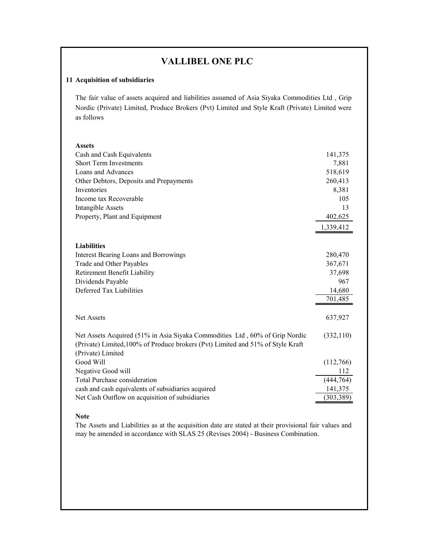# **VALLIBEL ONE PLC**

### **11 Acquisition of subsidiaries**

The fair value of assets acquired and liabilities assumed of Asia Siyaka Commodities Ltd , Grip Nordic (Private) Limited, Produce Brokers (Pvt) Limited and Style Kraft (Private) Limited were as follows

| <b>Assets</b>                                                                   |            |
|---------------------------------------------------------------------------------|------------|
| Cash and Cash Equivalents                                                       | 141,375    |
| <b>Short Term Investments</b>                                                   | 7,881      |
| Loans and Advances                                                              | 518,619    |
| Other Debtors, Deposits and Prepayments                                         | 260,413    |
| Inventories                                                                     | 8,381      |
| Income tax Recoverable                                                          | 105        |
| <b>Intangible Assets</b>                                                        | 13         |
| Property, Plant and Equipment                                                   | 402,625    |
|                                                                                 |            |
|                                                                                 | 1,339,412  |
|                                                                                 |            |
| <b>Liabilities</b>                                                              |            |
| <b>Interest Bearing Loans and Borrowings</b>                                    | 280,470    |
| Trade and Other Payables                                                        | 367,671    |
| Retirement Benefit Liability                                                    | 37,698     |
| Dividends Payable                                                               | 967        |
| Deferred Tax Liabilities                                                        | 14,680     |
|                                                                                 | 701,485    |
|                                                                                 |            |
| <b>Net Assets</b>                                                               | 637,927    |
|                                                                                 |            |
| Net Assets Acquired (51% in Asia Siyaka Commodities Ltd, 60% of Grip Nordic     | (332, 110) |
| (Private) Limited, 100% of Produce brokers (Pvt) Limited and 51% of Style Kraft |            |
| (Private) Limited                                                               |            |
| Good Will                                                                       | (112,766)  |
| Negative Good will                                                              | 112        |
| <b>Total Purchase consideration</b>                                             | (444,764)  |
| cash and cash equivalents of subsidiaries acquired                              | 141,375    |
| Net Cash Outflow on acquisition of subsidiaries                                 | (303, 389) |

#### **Note**

The Assets and Liabilities as at the acquisition date are stated at their provisional fair values and may be amended in accordance with SLAS 25 (Revises 2004) - Business Combination.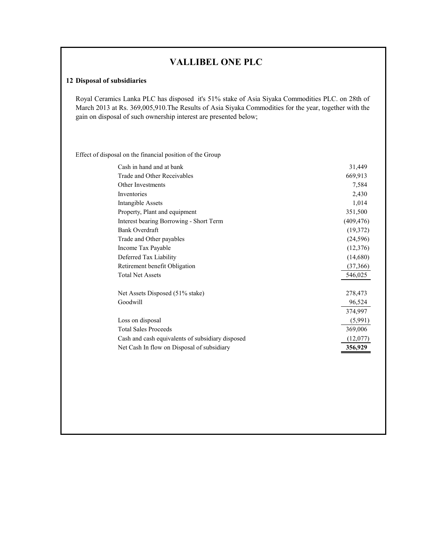# **VALLIBEL ONE PLC**

#### **12 Disposal of subsidiaries**

Royal Ceramics Lanka PLC has disposed it's 51% stake of Asia Siyaka Commodities PLC. on 28th of March 2013 at Rs. 369,005,910.The Results of Asia Siyaka Commodities for the year, together with the gain on disposal of such ownership interest are presented below;

Effect of disposal on the financial position of the Group

| Cash in hand and at bank                         | 31,449     |
|--------------------------------------------------|------------|
| Trade and Other Receivables                      | 669,913    |
| Other Investments                                | 7,584      |
| Inventories                                      | 2,430      |
| Intangible Assets                                | 1,014      |
| Property, Plant and equipment                    | 351,500    |
| Interest bearing Borrowing - Short Term          | (409, 476) |
| Bank Overdraft                                   | (19,372)   |
| Trade and Other payables                         | (24, 596)  |
| Income Tax Payable                               | (12,376)   |
| Deferred Tax Liability                           | (14,680)   |
| Retirement benefit Obligation                    | (37,366)   |
| <b>Total Net Assets</b>                          | 546,025    |
| Net Assets Disposed (51% stake)                  | 278,473    |
| Goodwill                                         | 96,524     |
|                                                  | 374,997    |
| Loss on disposal                                 | (5,991)    |
| <b>Total Sales Proceeds</b>                      | 369,006    |
| Cash and cash equivalents of subsidiary disposed | (12,077)   |
| Net Cash In flow on Disposal of subsidiary       | 356,929    |
|                                                  |            |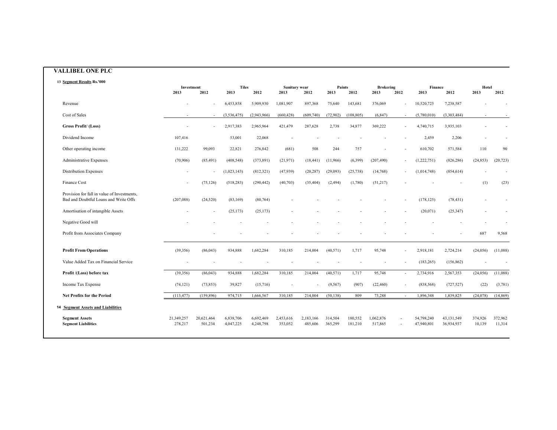#### **VALLIBEL ONE PLC**

| 13 Segment Results Rs.'000                                                           |                       |                          |                        |                        |                       |                      |                    |                    |                          |                          |                          |                            |                   |                   |
|--------------------------------------------------------------------------------------|-----------------------|--------------------------|------------------------|------------------------|-----------------------|----------------------|--------------------|--------------------|--------------------------|--------------------------|--------------------------|----------------------------|-------------------|-------------------|
|                                                                                      | Investment<br>2013    | 2012                     | <b>Tiles</b><br>2013   | 2012                   | Sanitary wear<br>2013 | 2012                 | Paints<br>2013     | 2012               | <b>Brokering</b><br>2013 | 2012                     | Finance<br>2013          | 2012                       | Hotel<br>2013     | 2012              |
| Revenue                                                                              |                       |                          | 6,453,858              | 5,909,930              | 1,081,907             | 897,368              | 75,640             | 143,681            | 376,069                  |                          | 10,520,725               | 7,238,587                  |                   |                   |
| Cost of Sales                                                                        |                       | $\sim$                   | (3,536,475)            | (2,943,966)            | (660, 428)            | (609,740)            | (72,902)           | (108, 805)         | (6, 847)                 | $\overline{\phantom{a}}$ | (5,780,010)              | (3,303,484)                | ٠                 |                   |
| Gross Profit/(Loss)                                                                  |                       | ÷,                       | 2,917,383              | 2,965,964              | 421,479               | 287,628              | 2,738              | 34,877             | 369,222                  |                          | 4,740,715                | 3,935,103                  |                   |                   |
| Dividend Income                                                                      | 107,416               |                          | 53,001                 | 22,068                 |                       |                      |                    |                    |                          |                          | 2,459                    | 2,206                      |                   |                   |
| Other operating income                                                               | 131,222               | 99,093                   | 22,821                 | 276,842                | (681)                 | 508                  | 244                | 757                |                          |                          | 610,702                  | 571,584                    | 110               | 90                |
| Administrative Expenses                                                              | (70,906)              | (85, 491)                | (408, 548)             | (373, 891)             | (21, 971)             | (18, 441)            | (11,966)           | (6,399)            | (207, 490)               |                          | (1,222,751)              | (826, 286)                 | (24, 853)         | (20, 723)         |
| Distribution Expenses                                                                |                       | ÷,                       | (1,023,143)            | (812, 321)             | (47,939)              | (20, 287)            | (29,093)           | (25, 738)          | (14,768)                 |                          | (1,014,748)              | (854, 614)                 |                   |                   |
| Finance Cost                                                                         |                       | (75, 126)                | (518, 283)             | (290, 442)             | (40,703)              | (35, 404)            | (2, 494)           | (1,780)            | (51,217)                 |                          |                          |                            | (1)               | (23)              |
| Provision for fall in value of Investments,<br>Bad and Doubtful Loans and Write Offs | (207, 088)            | (24, 520)                | (83, 169)              | (80, 764)              |                       |                      |                    |                    |                          |                          | (178, 125)               | (78, 431)                  |                   |                   |
| Amortisation of intangible Assets                                                    |                       | $\overline{\phantom{a}}$ | (25, 173)              | (25, 173)              |                       |                      |                    |                    |                          |                          | (20,071)                 | (25, 347)                  |                   |                   |
| Negative Good will                                                                   |                       |                          |                        |                        |                       |                      |                    |                    |                          |                          |                          |                            |                   |                   |
| Profit from Associates Company                                                       |                       |                          |                        |                        |                       |                      |                    |                    |                          |                          |                          |                            | 687               | 9,568             |
| <b>Profit From Operations</b>                                                        | (39, 356)             | (86, 043)                | 934,888                | 1,682,284              | 310,185               | 214,004              | (40, 571)          | 1,717              | 95,748                   |                          | 2,918,181                | 2,724,214                  | (24, 056)         | (11,088)          |
| Value Added Tax on Financial Service                                                 |                       |                          |                        |                        |                       |                      |                    |                    |                          |                          | (183, 265)               | (156, 862)                 |                   |                   |
| Profit /(Loss) before tax                                                            | (39,356)              | (86, 043)                | 934,888                | 1,682,284              | 310,185               | 214,004              | (40, 571)          | 1,717              | 95,748                   |                          | 2,734,916                | 2,567,353                  | (24, 056)         | (11,088)          |
| Income Tax Expense                                                                   | (74, 121)             | (73, 853)                | 39,827                 | (15,716)               |                       |                      | (9, 567)           | (907)              | (22, 460)                | $\overline{\phantom{a}}$ | (838, 568)               | (727, 527)                 | (22)              | (3,781)           |
| <b>Net Profits for the Period</b>                                                    | (113, 477)            | (159, 896)               | 974,715                | 1,666,567              | 310,185               | 214,004              | (50, 138)          | 809                | 73,288                   | $\overline{\phantom{a}}$ | 1,896,348                | 1,839,825                  | (24, 078)         | (14, 869)         |
| <b>14 Segment Assets and Liabilities</b>                                             |                       |                          |                        |                        |                       |                      |                    |                    |                          |                          |                          |                            |                   |                   |
| <b>Segment Assets</b><br><b>Segment Liabilities</b>                                  | 21,349,257<br>278,217 | 20,621,464<br>501,234    | 6,838,706<br>4,047,225 | 6,692,469<br>4,248,798 | 2,453,616<br>353,052  | 2,183,166<br>485,606 | 314,504<br>365,299 | 180,552<br>181,210 | 1,062,876<br>517,865     |                          | 54,798,240<br>47,940,801 | 43, 131, 549<br>36,934,937 | 374,926<br>10,139 | 372,962<br>11,314 |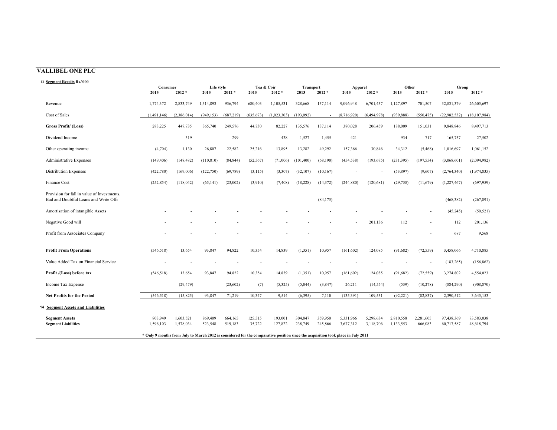| 13 Segment Results Rs.'000                                                           |                      |                        |                          |                    |                          |                    |                          |                    |                        |                          |                        |                      |                          |                          |
|--------------------------------------------------------------------------------------|----------------------|------------------------|--------------------------|--------------------|--------------------------|--------------------|--------------------------|--------------------|------------------------|--------------------------|------------------------|----------------------|--------------------------|--------------------------|
|                                                                                      | Consumer<br>2013     | $2012 *$               | Life style<br>2013       | $2012 *$           | Tea & Coir<br>2013       | $2012 *$           | <b>Transport</b><br>2013 | $2012 *$           | Apparel<br>2013        | $2012 *$                 | Other<br>2013          | $2012 *$             | Group<br>2013            | $2012 *$                 |
|                                                                                      |                      |                        |                          |                    |                          |                    |                          |                    |                        |                          |                        |                      |                          |                          |
| Revenue                                                                              | 1,774,372            | 2,833,749              | 1,314,893                | 936,794            | 680,403                  | 1,105,531          | 328,668                  | 137,114            | 9,096,948              | 6,701,437                | 1,127,897              | 701,507              | 32,831,379               | 26,605,697               |
| Cost of Sales                                                                        | (1,491,146)          | (2,386,014)            | (949, 153)               | (687, 219)         | (635, 673)               | (1,023,303)        | (193,092)                |                    | (8,716,920)            | (6,494,978)              | (939, 888)             | (550, 475)           | (22, 982, 532)           | (18, 107, 984)           |
| <b>Gross Profit/ (Loss)</b>                                                          | 283,225              | 447,735                | 365,740                  | 249,576            | 44,730                   | 82,227             | 135,576                  | 137,114            | 380,028                | 206,459                  | 188,009                | 151,031              | 9,848,846                | 8,497,713                |
| Dividend Income                                                                      |                      | 319                    | $\overline{\phantom{a}}$ | 299                | $\overline{\phantom{a}}$ | 438                | 1,527                    | 1,455              | 421                    | $\overline{\phantom{a}}$ | 934                    | 717                  | 165,757                  | 27,502                   |
| Other operating income                                                               | (4,704)              | 1,130                  | 26,807                   | 22,582             | 25,216                   | 13,895             | 13,282                   | 49,292             | 157,366                | 30,846                   | 34,312                 | (5, 468)             | 1,016,697                | 1,061,152                |
| <b>Administrative Expenses</b>                                                       | (149, 406)           | (148, 482)             | (110, 810)               | (84, 844)          | (52, 567)                | (71,006)           | (101, 400)               | (68, 190)          | (454, 538)             | (193, 675)               | (231, 395)             | (197, 554)           | (3,068,601)              | (2,094,982)              |
| <b>Distribution Expenses</b>                                                         | (422,780)            | (169,006)              | (122, 750)               | (69, 789)          | (3, 115)                 | (3,307)            | (32, 107)                | (10, 167)          |                        |                          | (53, 897)              | (9,607)              | (2,764,340)              | (1,974,835)              |
| <b>Finance Cost</b>                                                                  | (252, 854)           | (118, 042)             | (65, 141)                | (23,002)           | (3,910)                  | (7, 408)           | (18, 228)                | (14, 372)          | (244, 880)             | (120, 681)               | (29, 758)              | (11,679)             | (1,227,467)              | (697, 959)               |
| Provision for fall in value of Investments,<br>Bad and Doubtful Loans and Write Offs |                      |                        |                          |                    |                          |                    |                          | (84, 175)          |                        |                          |                        |                      | (468, 382)               | (267, 891)               |
| Amortisation of intangible Assets                                                    |                      |                        |                          |                    |                          |                    |                          |                    |                        |                          |                        |                      | (45, 245)                | (50, 521)                |
| Negative Good will                                                                   |                      |                        |                          |                    |                          |                    |                          |                    |                        | 201,136                  | 112                    |                      | 112                      | 201,136                  |
| Profit from Associates Company                                                       |                      |                        |                          |                    |                          |                    |                          |                    |                        |                          |                        |                      | 687                      | 9,568                    |
| <b>Profit From Operations</b>                                                        | (546, 518)           | 13,654                 | 93,847                   | 94,822             | 10,354                   | 14,839             | (1,351)                  | 10,957             | (161, 602)             | 124,085                  | (91, 682)              | (72, 559)            | 3,458,066                | 4,710,885                |
| Value Added Tax on Financial Service                                                 |                      |                        |                          |                    |                          |                    |                          |                    |                        |                          |                        |                      | (183, 265)               | (156, 862)               |
| Profit /(Loss) before tax                                                            | (546, 518)           | 13,654                 | 93,847                   | 94,822             | 10,354                   | 14,839             | (1,351)                  | 10,957             | (161, 602)             | 124,085                  | (91,682)               | (72, 559)            | 3,274,802                | 4,554,023                |
| Income Tax Expense                                                                   |                      | (29, 479)              | $\overline{\phantom{a}}$ | (23,602)           | (7)                      | (5,325)            | (5,044)                  | (3,847)            | 26,211                 | (14, 554)                | (539)                  | (10, 278)            | (884, 290)               | (908, 870)               |
| <b>Net Profits for the Period</b>                                                    | (546, 518)           | (15, 825)              | 93,847                   | 71,219             | 10.347                   | 9,514              | (6,395)                  | 7,110              | (135, 391)             | 109,531                  | (92, 221)              | (82, 837)            | 2,390,512                | 3,645,153                |
| <b>14 Segment Assets and Liabilities</b>                                             |                      |                        |                          |                    |                          |                    |                          |                    |                        |                          |                        |                      |                          |                          |
| <b>Segment Assets</b><br><b>Segment Liabilities</b>                                  | 803,949<br>1,596,103 | 1,603,521<br>1,578,034 | 869,409<br>523,548       | 664,165<br>519,183 | 125,515<br>35,722        | 193,001<br>127,822 | 304,847<br>238,749       | 359,950<br>245,866 | 5,331,966<br>3,677,312 | 5,298,634<br>3,118,706   | 2,810,558<br>1,133,553 | 2,281,605<br>666,083 | 97,438,369<br>60,717,587 | 83,583,038<br>48,618,794 |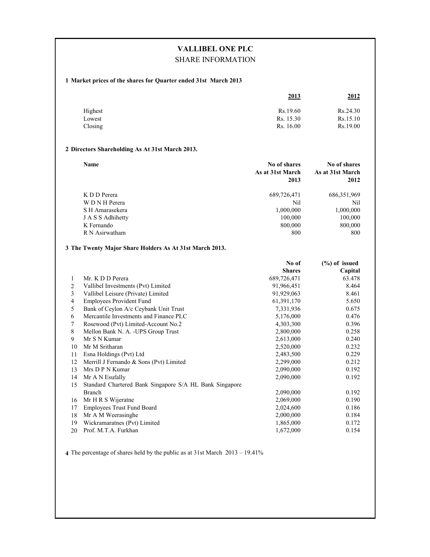# **VALLIBEL ONE PLC** SHARE INFORMATION

#### **1 Market prices of the shares for Quarter ended 31st March 2013**

|                   | 2013                   | <u>2012</u>          |
|-------------------|------------------------|----------------------|
| Highest           | Rs.19.60               | Rs.24.30             |
| Lowest<br>Closing | Rs. 15.30<br>Rs. 16.00 | Rs.15.10<br>Rs.19.00 |

#### **2 Directors Shareholding As At 31st March 2013.**

| Name              | No of shares<br>As at 31st March<br>2013 | No of shares<br>As at 31st March<br>2012 |
|-------------------|------------------------------------------|------------------------------------------|
| K D D Perera      | 689,726,471                              | 686, 351, 969                            |
| W D N H Perera    | Nil                                      | Nil                                      |
| S H Amarasekera   | 1,000,000                                | 1,000,000                                |
| J A S S Adhihetty | 100,000                                  | 100,000                                  |
| K Fernando        | 800,000                                  | 800,000                                  |
| R N Asirwatham    | 800                                      | 800                                      |

#### **3 The Twenty Major Share Holders As At 31st March 2013.**

|    |                                                         | No of         | $(\%)$ of issued |
|----|---------------------------------------------------------|---------------|------------------|
|    |                                                         | <b>Shares</b> | Capital          |
| 1  | Mr. K D D Perera                                        | 689,726,471   | 63.478           |
| 2  | Vallibel Investments (Pvt) Limited                      | 91,966,451    | 8.464            |
| 3  | Vallibel Leisure (Private) Limited                      | 91,929,063    | 8.461            |
| 4  | <b>Employees Provident Fund</b>                         | 61,391,170    | 5.650            |
| 5  | Bank of Ceylon A/c Ceybank Unit Trust                   | 7,331,936     | 0.675            |
| 6  | Mercantile Investments and Finance PLC                  | 5,176,000     | 0.476            |
| 7  | Rosewood (Pvt) Limited-Account No.2                     | 4,303,300     | 0.396            |
| 8  | Mellon Bank N. A. - UPS Group Trust                     | 2,800,000     | 0.258            |
| 9  | Mr S N Kumar                                            | 2,613,000     | 0.240            |
| 10 | Mr M Sritharan                                          | 2,520,000     | 0.232            |
| 11 | Esna Holdings (Pvt) Ltd                                 | 2,483,500     | 0.229            |
| 12 | Merrill J Fernando & Sons (Pvt) Limited                 | 2,299,000     | 0.212            |
| 13 | Mrs D P N Kumar                                         | 2,090,000     | 0.192            |
| 14 | Mr A N Esufally                                         | 2,090,000     | 0.192            |
| 15 | Standard Chartered Bank Singapore S/A HL Bank Singapore |               |                  |
|    | <b>Branch</b>                                           | 2,090,000     | 0.192            |
| 16 | Mr H R S Wijeratne                                      | 2,069,000     | 0.190            |
| 17 | <b>Employees Trust Fund Board</b>                       | 2,024,600     | 0.186            |
| 18 | Mr A M Weerasinghe                                      | 2,000,000     | 0.184            |
| 19 | Wickramaratnes (Pvt) Limited                            | 1,865,000     | 0.172            |
| 20 | Prof. M.T.A. Furkhan                                    | 1,672,000     | 0.154            |

**4** The percentage of shares held by the public as at 31st March 2013 – 19.41%